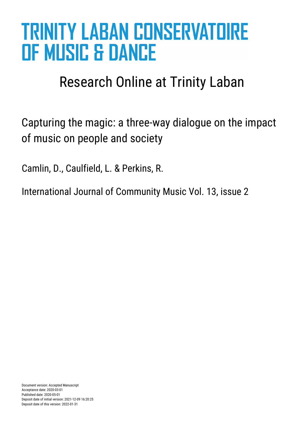# **TRINITY LABAN CONSERVATOIRE OF MUSIC & DANCE**

## Research Online at Trinity Laban

Capturing the magic: a three-way dialogue on the impact of music on people and society

Camlin, D., Caulfield, L. & Perkins, R.

International Journal of Community Music Vol. 13, issue 2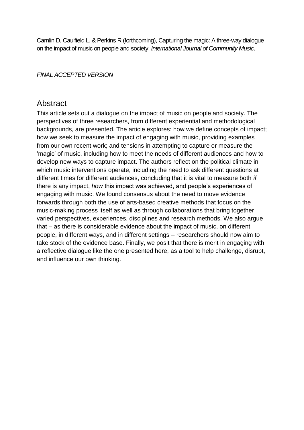Camlin D, Caulfield L, & Perkins R (forthcoming), Capturing the magic: A three-way dialogue on the impact of music on people and society, *International Journal of Community Music*.

#### *FINAL ACCEPTED VERSION*

#### Abstract

This article sets out a dialogue on the impact of music on people and society. The perspectives of three researchers, from different experiential and methodological backgrounds, are presented. The article explores: how we define concepts of impact; how we seek to measure the impact of engaging with music, providing examples from our own recent work; and tensions in attempting to capture or measure the 'magic' of music, including how to meet the needs of different audiences and how to develop new ways to capture impact. The authors reflect on the political climate in which music interventions operate, including the need to ask different questions at different times for different audiences, concluding that it is vital to measure both *if*  there is any impact, *how* this impact was achieved, and people's experiences of engaging with music. We found consensus about the need to move evidence forwards through both the use of arts-based creative methods that focus on the music-making process itself as well as through collaborations that bring together varied perspectives, experiences, disciplines and research methods. We also argue that – as there is considerable evidence about the impact of music, on different people, in different ways, and in different settings – researchers should now aim to take stock of the evidence base. Finally, we posit that there is merit in engaging with a reflective dialogue like the one presented here, as a tool to help challenge, disrupt, and influence our own thinking.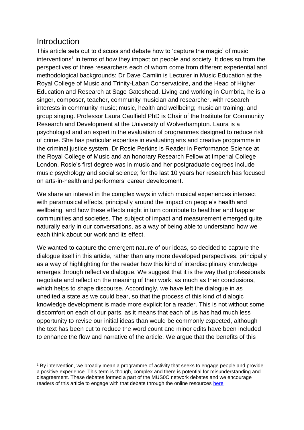#### **Introduction**

1

This article sets out to discuss and debate how to 'capture the magic' of music interventions<sup>1</sup> in terms of how they impact on people and society. It does so from the perspectives of three researchers each of whom come from different experiential and methodological backgrounds: Dr Dave Camlin is Lecturer in Music Education at the Royal College of Music and Trinity-Laban Conservatoire, and the Head of Higher Education and Research at Sage Gateshead. Living and working in Cumbria, he is a singer, composer, teacher, community musician and researcher, with research interests in community music; music, health and wellbeing; musician training; and group singing. Professor Laura Caulfield PhD is Chair of the Institute for Community Research and Development at the University of Wolverhampton. Laura is a psychologist and an expert in the evaluation of programmes designed to reduce risk of crime. She has particular expertise in evaluating arts and creative programme in the criminal justice system. Dr Rosie Perkins is Reader in Performance Science at the Royal College of Music and an honorary Research Fellow at Imperial College London. Rosie's first degree was in music and her postgraduate degrees include music psychology and social science; for the last 10 years her research has focused on arts-in-health and performers' career development.

We share an interest in the complex ways in which musical experiences intersect with paramusical effects, principally around the impact on people's health and wellbeing, and how these effects might in turn contribute to healthier and happier communities and societies. The subject of impact and measurement emerged quite naturally early in our conversations, as a way of being able to understand how we each think about our work and its effect.

We wanted to capture the emergent nature of our ideas, so decided to capture the dialogue itself in this article, rather than any more developed perspectives, principally as a way of highlighting for the reader how this kind of interdisciplinary knowledge emerges through reflective dialogue. We suggest that it is the way that professionals negotiate and reflect on the meaning of their work, as much as their conclusions, which helps to shape discourse. Accordingly, we have left the dialogue in as unedited a state as we could bear, so that the process of this kind of dialogic knowledge development is made more explicit for a reader. This is not without some discomfort on each of our parts, as it means that each of us has had much less opportunity to revise our initial ideas than would be commonly expected, although the text has been cut to reduce the word count and minor edits have been included to enhance the flow and narrative of the article. We argue that the benefits of this

<sup>1</sup> By intervention, we broadly mean a programme of activity that seeks to engage people and provide a positive experience. This term is though, complex and there is potential for misunderstanding and disagreement. These debates formed a part of the MUS0C network debates and we encourage readers of this article to engage with that debate through the online resources [here](https://learn.rcm.ac.uk/courses/1240/pages/the-responses-whose-voice-whose-music-whose-agenda?module_item_id=5824)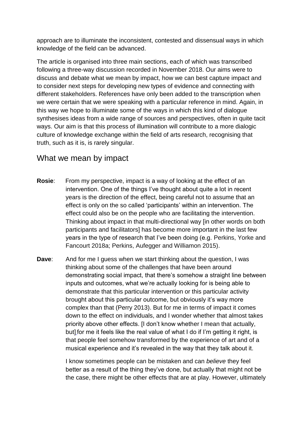approach are to illuminate the inconsistent, contested and dissensual ways in which knowledge of the field can be advanced.

The article is organised into three main sections, each of which was transcribed following a three-way discussion recorded in November 2018. Our aims were to discuss and debate what we mean by impact, how we can best capture impact and to consider next steps for developing new types of evidence and connecting with different stakeholders. References have only been added to the transcription when we were certain that we were speaking with a particular reference in mind. Again, in this way we hope to illuminate some of the ways in which this kind of dialogue synthesises ideas from a wide range of sources and perspectives, often in quite tacit ways. Our aim is that this process of illumination will contribute to a more dialogic culture of knowledge exchange within the field of arts research, recognising that truth, such as it is, is rarely singular.

#### What we mean by impact

- **Rosie:** From my perspective, impact is a way of looking at the effect of an intervention. One of the things I've thought about quite a lot in recent years is the direction of the effect, being careful not to assume that an effect is only on the so called 'participants' within an intervention. The effect could also be on the people who are facilitating the intervention. Thinking about impact in that multi-directional way [in other words on both participants and facilitators] has become more important in the last few years in the type of research that I've been doing (e.g. Perkins, Yorke and Fancourt 2018a; Perkins, Aufegger and Williamon 2015).
- **Dave**: And for me I guess when we start thinking about the question, I was thinking about some of the challenges that have been around demonstrating social impact, that there's somehow a straight line between inputs and outcomes, what we're actually looking for is being able to demonstrate that this particular intervention or this particular activity brought about this particular outcome, but obviously it's way more complex than that (Perry 2013). But for me in terms of impact it comes down to the effect on individuals, and I wonder whether that almost takes priority above other effects. [I don't know whether I mean that actually, but] for me it feels like the real value of what I do if I'm getting it right, is that people feel somehow transformed by the experience of art and of a musical experience and it's revealed in the way that they talk about it.

I know sometimes people can be mistaken and can *believe* they feel better as a result of the thing they've done, but actually that might not be the case, there might be other effects that are at play. However, ultimately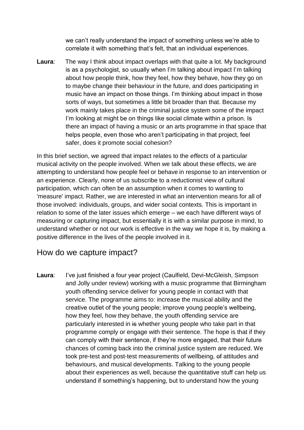we can't really understand the impact of something unless we're able to correlate it with something that's felt, that an individual experiences.

**Laura:** The way I think about impact overlaps with that quite a lot. My background is as a psychologist, so usually when I'm talking about impact I'm talking about how people think, how they feel, how they behave, how they go on to maybe change their behaviour in the future, and does participating in music have an impact on those things. I'm thinking about impact in those sorts of ways, but sometimes a little bit broader than that. Because my work mainly takes place in the criminal justice system some of the impact I'm looking at might be on things like social climate within a prison. Is there an impact of having a music or an arts programme in that space that helps people, even those who aren't participating in that project, feel safer, does it promote social cohesion?

In this brief section, we agreed that impact relates to the *effects* of a particular musical activity on the people involved. When we talk about these effects, we are attempting to understand how people feel or behave in response to an intervention or an experience. Clearly, none of us subscribe to a reductionist view of cultural participation, which can often be an assumption when it comes to wanting to 'measure' impact. Rather, we are interested in what an intervention means for all of those involved: individuals, groups, and wider social contexts. This is important in relation to some of the later issues which emerge – we each have different ways of measuring or capturing impact, but essentially it is with a similar purpose in mind, to understand whether or not our work is effective in the way we hope it is, by making a positive difference in the lives of the people involved in it.

#### How do we capture impact?

Laura: I've just finished a four year project (Caulfield, Devi-McGleish, Simpson and Jolly under review) working with a music programme that Birmingham youth offending service deliver for young people in contact with that service. The programme aims to: increase the musical ability and the creative outlet of the young people; improve young people's wellbeing, how they feel, how they behave, the youth offending service are particularly interested in is whether young people who take part in that programme comply or engage with their sentence. The hope is that if they can comply with their sentence, if they're more engaged, that their future chances of coming back into the criminal justice system are reduced. We took pre-test and post-test measurements of wellbeing, of attitudes and behaviours, and musical developments. Talking to the young people about their experiences as well, because the quantitative stuff can help us understand if something's happening, but to understand how the young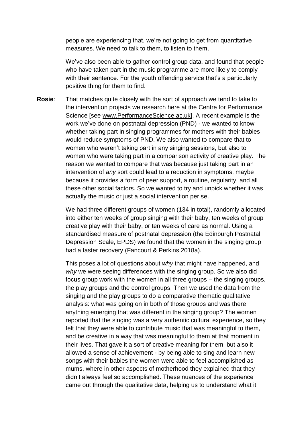people are experiencing that, we're not going to get from quantitative measures. We need to talk to them, to listen to them.

We've also been able to gather control group data, and found that people who have taken part in the music programme are more likely to comply with their sentence. For the youth offending service that's a particularly positive thing for them to find.

**Rosie**: That matches quite closely with the sort of approach we tend to take to the intervention projects we research here at the Centre for Performance Science [see www.PerformanceScience.ac.uk]. A recent example is the work we've done on postnatal depression (PND) - we wanted to know whether taking part in singing programmes for mothers with their babies would reduce symptoms of PND. We also wanted to compare that to women who weren't taking part in any singing sessions, but also to women who were taking part in a comparison activity of creative play. The reason we wanted to compare that was because just taking part in an intervention of *any* sort could lead to a reduction in symptoms, maybe because it provides a form of peer support, a routine, regularity, and all these other social factors. So we wanted to try and unpick whether it was actually the music or just a social intervention per se.

> We had three different groups of women (134 in total), randomly allocated into either ten weeks of group singing with their baby, ten weeks of group creative play with their baby, or ten weeks of care as normal. Using a standardised measure of postnatal depression (the Edinburgh Postnatal Depression Scale, EPDS) we found that the women in the singing group had a faster recovery (Fancourt & Perkins 2018a).

> This poses a lot of questions about *why* that might have happened, and *why* we were seeing differences with the singing group. So we also did focus group work with the women in all three groups – the singing groups, the play groups and the control groups. Then we used the data from the singing and the play groups to do a comparative thematic qualitative analysis: what was going on in both of those groups and was there anything emerging that was different in the singing group? The women reported that the singing was a very authentic cultural experience, so they felt that they were able to contribute music that was meaningful to them, and be creative in a way that was meaningful to them at that moment in their lives. That gave it a sort of creative meaning for them, but also it allowed a sense of achievement - by being able to sing and learn new songs with their babies the women were able to feel accomplished as mums, where in other aspects of motherhood they explained that they didn't always feel so accomplished. These nuances of the experience came out through the qualitative data, helping us to understand what it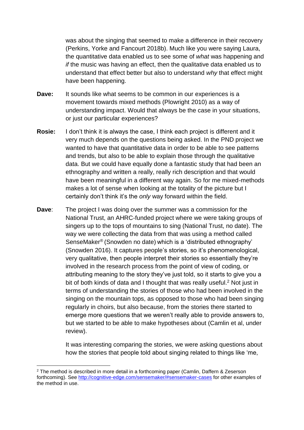was about the singing that seemed to make a difference in their recovery (Perkins, Yorke and Fancourt 2018b). Much like you were saying Laura, the quantitative data enabled us to see some of *what* was happening and *if* the music was having an effect, then the qualitative data enabled us to understand that effect better but also to understand *why* that effect might have been happening.

- **Dave:** It sounds like what seems to be common in our experiences is a movement towards mixed methods (Plowright 2010) as a way of understanding impact. Would that always be the case in your situations, or just our particular experiences?
- **Rosie:** I don't think it is always the case, I think each project is different and it very much depends on the questions being asked. In the PND project we wanted to have that quantitative data in order to be able to see patterns and trends, but also to be able to explain those through the qualitative data. But we could have equally done a fantastic study that had been an ethnography and written a really, really rich description and that would have been meaningful in a different way again. So for me mixed-methods makes a lot of sense when looking at the totality of the picture but I certainly don't think it's the *only* way forward within the field.
- **Dave:** The project I was doing over the summer was a commission for the National Trust, an AHRC-funded project where we were taking groups of singers up to the tops of mountains to sing (National Trust, no date). The way we were collecting the data from that was using a method called SenseMaker® (Snowden no date) which is a 'distributed ethnography' (Snowden 2016). It captures people's stories, so it's phenomenological, very qualitative, then people interpret their stories so essentially they're involved in the research process from the point of view of coding, or attributing meaning to the story they've just told, so it starts to give you a bit of both kinds of data and I thought that was really useful.<sup>2</sup> Not just in terms of understanding the stories of those who had been involved in the singing on the mountain tops, as opposed to those who had been singing regularly in choirs, but also because, from the stories there started to emerge more questions that we weren't really able to provide answers to, but we started to be able to make hypotheses about (Camlin et al, under review).

It was interesting comparing the stories, we were asking questions about how the stories that people told about singing related to things like 'me,

1

<sup>2</sup> The method is described in more detail in a forthcoming paper (Camlin, Daffern & Zeserson forthcoming). See<http://cognitive-edge.com/sensemaker/#sensemaker-cases> for other examples of the method in use.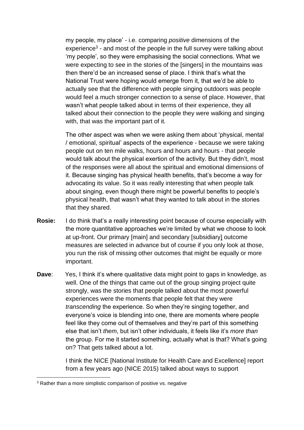my people, my place' - i.e. comparing *positive* dimensions of the experience<sup>3</sup> - and most of the people in the full survey were talking about 'my people', so they were emphasising the social connections. What we were expecting to see in the stories of the [singers] in the mountains was then there'd be an increased sense of place. I think that's what the National Trust were hoping would emerge from it, that we'd be able to actually see that the difference with people singing outdoors was people would feel a much stronger connection to a sense of place. However, that wasn't what people talked about in terms of their experience, they all talked about their connection to the people they were walking and singing with, that was the important part of it.

The other aspect was when we were asking them about 'physical, mental / emotional, spiritual' aspects of the experience - because we were taking people out on ten mile walks, hours and hours and hours - that people would talk about the physical exertion of the activity. But they didn't, most of the responses were all about the spiritual and emotional dimensions of it. Because singing has physical health benefits, that's become a way for advocating its value. So it was really interesting that when people talk about singing, even though there might be powerful benefits to people's physical health, that wasn't what they wanted to talk about in the stories that they shared.

- **Rosie:** I do think that's a really interesting point because of course especially with the more quantitative approaches we're limited by what we choose to look at up-front. Our primary [main] and secondary [subsidiary] outcome measures are selected in advance but of course if you only look at those, you run the risk of missing other outcomes that might be equally or more important.
- **Dave:** Yes, I think it's where qualitative data might point to gaps in knowledge, as well. One of the things that came out of the group singing project quite strongly, was the stories that people talked about the most powerful experiences were the moments that people felt that they were *transcending* the experience. So when they're singing together, and everyone's voice is blending into one, there are moments where people feel like they come out of themselves and they're part of this something else that isn't *them*, but isn't other individuals, it feels like it's *more than* the group. For me it started something, actually what is that? What's going on? That gets talked about a lot.

I think the NICE [National Institute for Health Care and Excellence] report from a few years ago (NICE 2015) talked about ways to support

1

<sup>&</sup>lt;sup>3</sup> Rather than a more simplistic comparison of positive vs. negative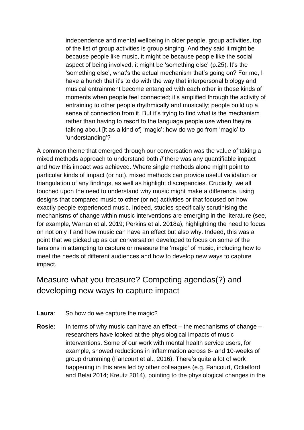independence and mental wellbeing in older people, group activities, top of the list of group activities is group singing. And they said it might be because people like music, it might be because people like the social aspect of being involved, it might be 'something else' (p.25). It's the 'something else', what's the actual mechanism that's going on? For me, I have a hunch that it's to do with the way that interpersonal biology and musical entrainment become entangled with each other in those kinds of moments when people feel connected; it's amplified through the activity of entraining to other people rhythmically and musically; people build up a sense of connection from it. But it's trying to find what is the mechanism rather than having to resort to the language people use when they're talking about [it as a kind of] 'magic'; how do we go from 'magic' to 'understanding'?

A common theme that emerged through our conversation was the value of taking a mixed methods approach to understand both *if* there was any quantifiable impact and *how* this impact was achieved. Where single methods alone might point to particular kinds of impact (or not), mixed methods can provide useful validation or triangulation of any findings, as well as highlight discrepancies. Crucially, we all touched upon the need to understand *why* music might make a difference, using designs that compared music to other (or no) activities or that focused on how exactly people experienced music. Indeed, studies specifically scrutinising the mechanisms of change within music interventions are emerging in the literature (see, for example, Warran et al. 2019; Perkins et al. 2018a), highlighting the need to focus on not only if and how music can have an effect but also why. Indeed, this was a point that we picked up as our conversation developed to focus on some of the tensions in attempting to capture or measure the 'magic' of music, including how to meet the needs of different audiences and how to develop new ways to capture impact.

### Measure what you treasure? Competing agendas(?) and developing new ways to capture impact

- **Laura**: So how do we capture the magic?
- **Rosie:** In terms of why music can have an effect the mechanisms of change researchers have looked at the physiological impacts of music interventions. Some of our work with mental health service users, for example, showed reductions in inflammation across 6- and 10-weeks of group drumming (Fancourt et al., 2016). There's quite a lot of work happening in this area led by other colleagues (e.g. Fancourt, Ockelford and Belai 2014; Kreutz 2014), pointing to the physiological changes in the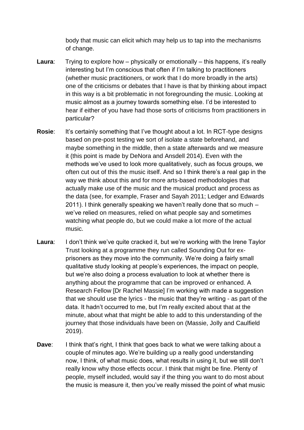body that music can elicit which may help us to tap into the mechanisms of change.

- **Laura:** Trying to explore how physically or emotionally this happens, it's really interesting but I'm conscious that often if I'm talking to practitioners (whether music practitioners, or work that I do more broadly in the arts) one of the criticisms or debates that I have is that by thinking about impact in this way is a bit problematic in not foregrounding the music. Looking at music almost as a journey towards something else. I'd be interested to hear if either of you have had those sorts of criticisms from practitioners in particular?
- **Rosie:** It's certainly something that I've thought about a lot. In RCT-type designs based on pre-post testing we sort of isolate a state beforehand, and maybe something in the middle, then a state afterwards and we measure it (this point is made by DeNora and Ansdell 2014). Even with the methods we've used to look more qualitatively, such as focus groups, we often cut out of this the music itself. And so I think there's a real gap in the way we think about this and for more arts-based methodologies that actually make use of the music and the musical product and process as the data (see, for example, Fraser and Sayah 2011; Ledger and Edwards 2011). I think generally speaking we haven't really done that so much – we've relied on measures, relied on what people say and sometimes watching what people do, but we could make a lot more of the actual music.
- **Laura**: I don't think we've quite cracked it, but we're working with the Irene Taylor Trust looking at a programme they run called Sounding Out for exprisoners as they move into the community. We're doing a fairly small qualitative study looking at people's experiences, the impact on people, but we're also doing a process evaluation to look at whether there is anything about the programme that can be improved or enhanced. A Research Fellow [Dr Rachel Massie] I'm working with made a suggestion that we should use the lyrics - the music that they're writing - as part of the data. It hadn't occurred to me, but I'm really excited about that at the minute, about what that might be able to add to this understanding of the journey that those individuals have been on (Massie, Jolly and Caulfield 2019).
- **Dave:** I think that's right, I think that goes back to what we were talking about a couple of minutes ago. We're building up a really good understanding now, I think, of what music does, what results in using it, but we still don't really know why those effects occur. I think that might be fine. Plenty of people, myself included, would say if the thing you want to do most about the music is measure it, then you've really missed the point of what music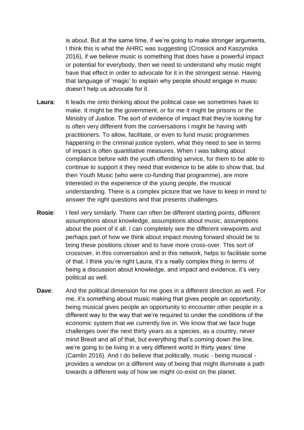is about. But at the same time, if we're going to make stronger arguments, I think this is what the AHRC was suggesting (Crossick and Kaszynska 2016), if we believe music is something that does have a powerful impact or potential for everybody, then we need to understand why music might have that effect in order to advocate for it in the strongest sense. Having that language of 'magic' to explain why people should engage in music doesn't help us advocate for it.

- **Laura:** It leads me onto thinking about the political case we sometimes have to make. It might be the government, or for me it might be prisons or the Ministry of Justice. The sort of evidence of impact that they're looking for is often very different from the conversations I might be having with practitioners. To allow, facilitate, or even to fund music programmes happening in the criminal justice system, what they need to see in terms of impact is often quantitative measures. When I was talking about compliance before with the youth offending service, for them to be able to continue to support it they need that evidence to be able to show that, but then Youth Music (who were co-funding that programme), are more interested in the experience of the young people, the musical understanding. There is a complex picture that we have to keep in mind to answer the right questions and that presents challenges.
- **Rosie**: I feel very similarly. There can often be different starting points, different assumptions about knowledge, assumptions about music, assumptions about the point of it all. I can completely see the different viewpoints and perhaps part of how we think about impact moving forward should be to bring these positions closer and to have more cross-over. This sort of crossover, in this conversation and in this network, helps to facilitate some of that. I think you're right Laura, it's a really complex thing in terms of being a discussion about knowledge, and impact and evidence, it's very political as well.
- **Dave**: And the political dimension for me goes in a different direction as well. For me, it's something about music making that gives people an opportunity; being musical gives people an opportunity to encounter other people in a different way to the way that we're required to under the conditions of the economic system that we currently live in. We know that we face huge challenges over the next thirty years as a species, as a country, never mind Brexit and all of that, but everything that's coming down the line, we're going to be living in a very different world in thirty years' time (Camlin 2016). And I do believe that politically, music - being musical provides a window on a different way of being that might illuminate a path towards a different way of how we might co-exist on the planet.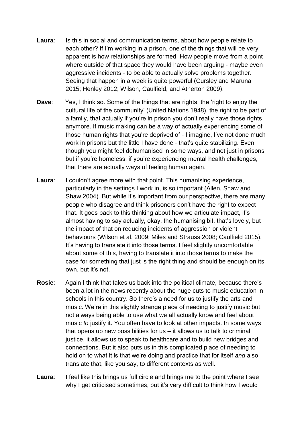- **Laura:** Is this in social and communication terms, about how people relate to each other? If I'm working in a prison, one of the things that will be very apparent is how relationships are formed. How people move from a point where outside of that space they would have been arguing - maybe even aggressive incidents - to be able to actually solve problems together. Seeing that happen in a week is quite powerful (Cursley and Maruna 2015; Henley 2012; Wilson, Caulfield, and Atherton 2009).
- **Dave:** Yes, I think so. Some of the things that are rights, the 'right to enjoy the cultural life of the community' (United Nations 1948), the right to be part of a family, that actually if you're in prison you don't really have those rights anymore. If music making can be a way of actually experiencing some of those human rights that you're deprived of - I imagine, I've not done much work in prisons but the little I have done - that's quite stabilizing. Even though you might feel dehumanised in some ways, and not just in prisons but if you're homeless, if you're experiencing mental health challenges, that there are actually ways of feeling human again.
- **Laura:** I couldn't agree more with that point. This humanising experience, particularly in the settings I work in, is so important (Allen, Shaw and Shaw 2004). But while it's important from our perspective, there are many people who disagree and think prisoners don't have the right to expect that. It goes back to this thinking about how we articulate impact, it's almost having to say actually, okay, the humanising bit, that's lovely, but the impact of that on reducing incidents of aggression or violent behaviours (Wilson et al. 2009; Miles and Strauss 2008; Caulfield 2015). It's having to translate it into those terms. I feel slightly uncomfortable about some of this, having to translate it into those terms to make the case for something that just is the right thing and should be enough on its own, but it's not.
- **Rosie:** Again I think that takes us back into the political climate, because there's been a lot in the news recently about the huge cuts to music education in schools in this country. So there's a need for us to justify the arts and music. We're in this slightly strange place of needing to justify music but not always being able to use what we all actually know and feel about music *to* justify it. You often have to look at other impacts. In some ways that opens up new possibilities for  $us - it$  allows us to talk to criminal justice, it allows us to speak to healthcare and to build new bridges and connections. But it also puts us in this complicated place of needing to hold on to what it is that we're doing and practice that for itself *and* also translate that, like you say, to different contexts as well.
- **Laura:** I feel like this brings us full circle and brings me to the point where I see why I get criticised sometimes, but it's very difficult to think how I would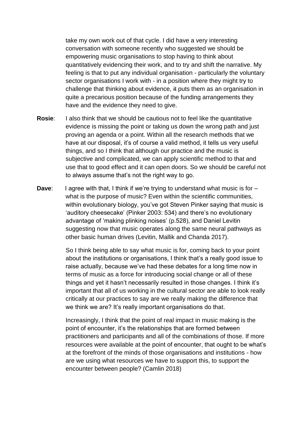take my own work out of that cycle. I did have a very interesting conversation with someone recently who suggested we should be empowering music organisations to stop having to think about quantitatively evidencing their work, and to try and shift the narrative. My feeling is that to put any individual organisation - particularly the voluntary sector organisations I work with - in a position where they might try to challenge that thinking about evidence, it puts them as an organisation in quite a precarious position because of the funding arrangements they have and the evidence they need to give.

- **Rosie:** I also think that we should be cautious not to feel like the quantitative evidence is missing the point or taking us down the wrong path and just proving an agenda or a point. Within all the research methods that we have at our disposal, it's of course a valid method, it tells us very useful things, and so I think that although our practice and the music is subjective and complicated, we can apply scientific method to that and use that to good effect and it can open doors. So we should be careful not to always assume that's not the right way to go.
- **Dave:** I agree with that, I think if we're trying to understand what music is for what is the purpose of music? Even within the scientific communities, within evolutionary biology, you've got Steven Pinker saying that music is 'auditory cheesecake' (Pinker 2003: 534) and there's no evolutionary advantage of 'making plinking noises' (p.528), and Daniel Levitin suggesting now that music operates along the same neural pathways as other basic human drives (Levitin, Mallik and Chanda 2017).

So I think being able to say what music is for, coming back to your point about the institutions or organisations, I think that's a really good issue to raise actually, because we've had these debates for a long time now in terms of music as a force for introducing social change or all of these things and yet it hasn't necessarily resulted in those changes. I think it's important that all of us working in the cultural sector are able to look really critically at our practices to say are we really making the difference that we think we are? It's really important organisations do that.

Increasingly, I think that the point of real impact in music making is the point of encounter, it's the relationships that are formed between practitioners and participants and all of the combinations of those. If more resources were available at the point of encounter, that ought to be what's at the forefront of the minds of those organisations and institutions - how are we using what resources we have to support this, to support the encounter between people? (Camlin 2018)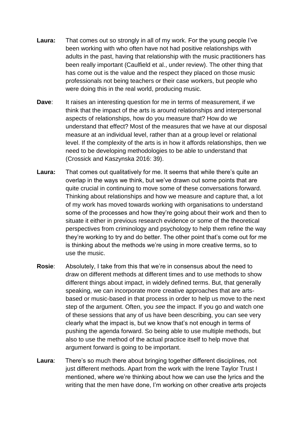- **Laura:** That comes out so strongly in all of my work. For the young people I've been working with who often have not had positive relationships with adults in the past, having that relationship with the music practitioners has been really important (Caulfield et al., under review). The other thing that has come out is the value and the respect they placed on those music professionals not being teachers or their case workers, but people who were doing this in the real world, producing music.
- **Dave:** It raises an interesting question for me in terms of measurement, if we think that the impact of the arts is around relationships and interpersonal aspects of relationships, how do you measure that? How do we understand that effect? Most of the measures that we have at our disposal measure at an individual level, rather than at a group level or relational level. If the complexity of the arts is in how it affords relationships, then we need to be developing methodologies to be able to understand that (Crossick and Kaszynska 2016: 39).
- **Laura:** That comes out qualitatively for me. It seems that while there's quite an overlap in the ways we think, but we've drawn out some points that are quite crucial in continuing to move some of these conversations forward. Thinking about relationships and how we measure and capture that, a lot of my work has moved towards working with organisations to understand some of the processes and how they're going about their work and then to situate it either in previous research evidence or some of the theoretical perspectives from criminology and psychology to help them refine the way they're working to try and do better. The other point that's come out for me is thinking about the methods we're using in more creative terms, so to use the music.
- **Rosie**: Absolutely, I take from this that we're in consensus about the need to draw on different methods at different times and to use methods to show different things about impact, in widely defined terms. But, that generally speaking, we can incorporate more creative approaches that are artsbased or music-based in that process in order to help us move to the next step of the argument. Often, you *see* the impact. If you go and watch one of these sessions that any of us have been describing, you can see very clearly what the impact is, but we know that's not enough in terms of pushing the agenda forward. So being able to use multiple methods, but also to use the method of the actual practice itself to help move that argument forward is going to be important.
- **Laura**: There's so much there about bringing together different disciplines, not just different methods. Apart from the work with the Irene Taylor Trust I mentioned, where we're thinking about how we can use the lyrics and the writing that the men have done, I'm working on other creative arts projects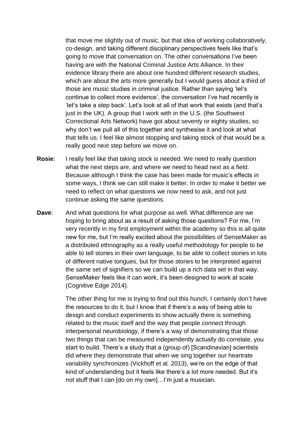that move me slightly out of music, but that idea of working collaboratively, co-design, and taking different disciplinary perspectives feels like that's going to move that conversation on. The other conversations I've been having are with the National Criminal Justice Arts Alliance. In their evidence library there are about one hundred different research studies, which are about the arts more generally but I would guess about a third of those are music studies in criminal justice. Rather than saying 'let's continue to collect more evidence', the conversation I've had recently is 'let's take a step back'. Let's look at all of that work that exists (and that's just in the UK). A group that I work with in the U.S. (the Southwest Correctional Arts Network) have got about seventy or eighty studies, so why don't we pull all of this together and synthesise it and look at what that tells us. I feel like almost stopping and taking stock of that would be a really good next step before we move on.

- **Rosie:** I really feel like that taking stock is needed. We need to really question what the next steps are, and where we need to head next as a field. Because although I think the case has been made for music's effects in some ways, I think we can still make it better. In order to make it better we need to reflect on what questions we now need to ask, and not just continue asking the same questions.
- **Dave:** And what questions for what purpose as well. What difference are we hoping to bring about as a result of asking those questions? For me, I'm very recently in my first employment within the academy so this is all quite new for me, but I'm really excited about the possibilities of SenseMaker as a distributed ethnography as a really useful methodology for people to be able to tell stories in their own language, to be able to collect stories in lots of different native tongues, but for those stories to be interpreted against the same set of signifiers so we can build up a rich data set in that way. SenseMaker feels like it can work, it's been designed to work at scale (Cognitive Edge 2014).

The other thing for me is trying to find out this hunch, I certainly don't have the resources to do it, but I know that if there's a way of being able to design and conduct experiments to show actually there is something related to the music itself and the way that people connect through interpersonal neurobiology, if there's a way of demonstrating that those two things that can be measured independently actually do correlate, you start to build. There's a study that a (group of) [Scandinavian] scientists did where they demonstrate that when we sing together our heartrate variability synchronizes (Vickhoff et al*.* 2013), we're on the edge of that kind of understanding but it feels like there's a lot more needed. But it's not stuff that I can [do on my own]…I'm just a musician.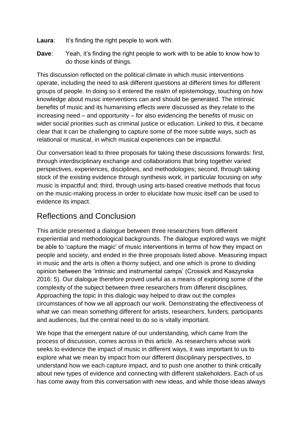- Laura: It's finding the right people to work with.
- **Dave:** Yeah, it's finding the right people to work with to be able to know how to do those kinds of things.

This discussion reflected on the political climate in which music interventions operate, including the need to ask different questions at different times for different groups of people. In doing so it entered the realm of epistemology, touching on how knowledge about music interventions can and should be generated. The intrinsic benefits of music and its humanising effects were discussed as they relate to the increasing need – and opportunity – for also evidencing the benefits of music on wider social priorities such as criminal justice or education. Linked to this, it became clear that it can be challenging to capture some of the more subtle ways, such as relational or musical, in which musical experiences can be impactful.

Our conversation lead to three proposals for taking these discussions forwards: first, through interdisciplinary exchange and collaborations that bring together varied perspectives, experiences, disciplines, and methodologies; second, through taking stock of the existing evidence through synthesis work, in particular focusing on *why*  music is impactful and; third, through using arts-based creative methods that focus on the music-making process in order to elucidate how music itself can be used to evidence its impact.

#### Reflections and Conclusion

This article presented a dialogue between three researchers from different experiential and methodological backgrounds. The dialogue explored ways we might be able to 'capture the magic' of music interventions in terms of how they impact on people and society, and ended in the three proposals listed above. Measuring impact in music and the arts is often a thorny subject, and one which is prone to dividing opinion between the 'intrinsic and instrumental camps' (Crossick and Kaszynska 2016: 5). Our dialogue therefore proved useful as a means of exploring some of the complexity of the subject between three researchers from different disciplines. Approaching the topic in this dialogic way helped to draw out the complex circumstances of how we all approach our work. Demonstrating the effectiveness of what we can mean something different for artists, researchers, funders, participants and audiences, but the central need to do so is vitally important.

We hope that the emergent nature of our understanding, which came from the process of discussion, comes across in this article. As researchers whose work seeks to evidence the impact of music in different ways, it was important to us to explore what we mean by impact from our different disciplinary perspectives, to understand how we each capture impact, and to push one another to think critically about new types of evidence and connecting with different stakeholders. Each of us has come away from this conversation with new ideas, and while those ideas always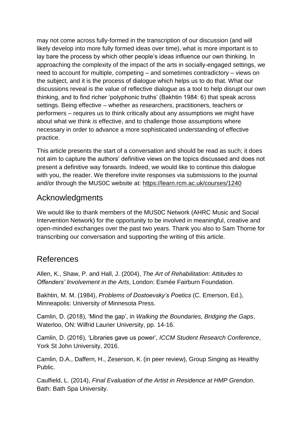may not come across fully-formed in the transcription of our discussion (and will likely develop into more fully formed ideas over time), what is more important is to lay bare the process by which other people's ideas influence our own thinking. In approaching the complexity of the impact of the arts in socially-engaged settings, we need to account for multiple, competing – and sometimes contradictory – views on the subject, and it is the process of dialogue which helps us to do that. What our discussions reveal is the value of reflective dialogue as a tool to help disrupt our own thinking, and to find richer 'polyphonic truths' (Bakhtin 1984: 6) that speak across settings. Being effective – whether as researchers, practitioners, teachers or performers – requires us to think critically about any assumptions we might have about what we think *is* effective, and to challenge those assumptions where necessary in order to advance a more sophisticated understanding of effective practice.

This article presents the start of a conversation and should be read as such; it does not aim to capture the authors' definitive views on the topics discussed and does not present a definitive way forwards. Indeed, we would like to continue this dialogue with you, the reader. We therefore invite responses via submissions to the journal and/or through the MUS0C website at: https://learn.rcm.ac.uk/courses/1240

#### Acknowledgments

We would like to thank members of the MUS0C Network (AHRC Music and Social Intervention Network) for the opportunity to be involved in meaningful, creative and open-minded exchanges over the past two years. Thank you also to Sam Thorne for transcribing our conversation and supporting the writing of this article.

#### References

Allen, K., Shaw, P. and Hall, J. (2004), *The Art of Rehabilitation: Attitudes to Offenders' Involvement in the Arts*, London: Esmée Fairburn Foundation.

Bakhtin, M. M. (1984), *Problems of Dostoevsky's Poetics* (C. Emerson, Ed.), Minneapolis: University of Minnesota Press.

Camlin, D. (2018), 'Mind the gap', in *Walking the Boundaries, Bridging the Gaps*, Waterloo, ON: Wilfrid Laurier University, pp. 14-16.

Camlin, D. (2016), 'Libraries gave us power', *ICCM Student Research Conference*, York St John University, 2016.

Camlin, D.A., Daffern, H., Zeserson, K. (in peer review), Group Singing as Healthy Public.

Caulfield, L. (2014), *Final Evaluation of the Artist in Residence at HMP Grendon*. Bath: Bath Spa University.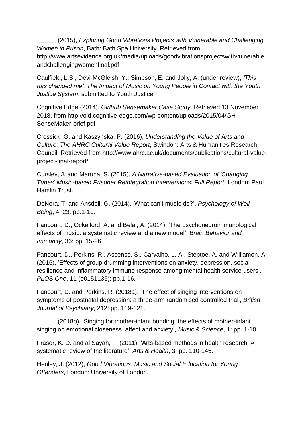\_\_\_\_\_\_\_\_ (2015), *Exploring Good Vibrations Projects with Vulnerable and Challenging Women in Prison*, Bath: Bath Spa University. Retrieved from http://www.artsevidence.org.uk/media/uploads/goodvibrationsprojectswithvulnerable andchallengingwomenfinal.pdf

Caulfield, L.S., Devi-McGleish, Y., Simpson, E. and Jolly, A. (under review), *'This has changed me': The Impact of Music on Young People in Contact with the Youth Justice System*, submitted to Youth Justice.

Cognitive Edge (2014), *Girlhub Sensemaker Case Study*. Retrieved 13 November 2018, from http://old.cognitive-edge.com/wp-content/uploads/2015/04/GH-SenseMaker-brief.pdf

Crossick, G. and Kaszynska, P. (2016), *Understanding the Value of Arts and Culture: The AHRC Cultural Value Report*, Swindon: Arts & Humanities Research Council. Retrieved from http://www.ahrc.ac.uk/documents/publications/cultural-valueproject-final-report/

Cursley, J. and Maruna, S. (2015), *A Narrative-based Evaluation of 'Changing Tunes' Music-based Prisoner Reintegration Interventions: Full Report*, London: Paul Hamlin Trust.

DeNora, T. and Ansdell, G. (2014), 'What can't music do?', *Psychology of Well-Being*, 4: 23: pp.1-10.

Fancourt, D., Ockelford, A. and Belai, A. (2014), 'The psychoneuroimmunological effects of music: a systematic review and a new model', *Brain Behavior and Immunity*, 36: pp. 15-26.

Fancourt, D., Perkins, R., Ascenso, S., Carvalho, L. A., Steptoe, A. and Williamon, A. (2016), 'Effects of group drumming interventions on anxiety, depression, social resilience and inflammatory immune response among mental health service users', *PLOS One*, 11 (e0151136): pp.1-16.

Fancourt, D. and Perkins, R. (2018a), 'The effect of singing interventions on symptoms of postnatal depression: a three-arm randomised controlled trial', *British Journal of Psychiatry*, 212: pp. 119-121.

\_\_\_\_\_\_\_\_ (2018b), 'Singing for mother-infant bonding: the effects of mother-infant singing on emotional closeness, affect and anxiety', *Music & Science*, 1: pp. 1-10.

Fraser, K. D. and al Sayah, F. (2011), 'Arts-based methods in health research: A systematic review of the literature', *Arts & Health*, 3: pp. 110-145.

Henley, J. (2012), *Good Vibrations: Music and Social Education for Young Offenders*, London: University of London.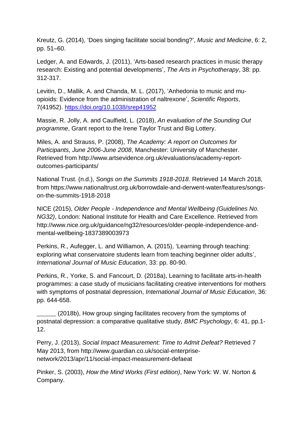Kreutz, G. (2014), 'Does singing facilitate social bonding?', *Music and Medicine*, 6: 2, pp. 51–60.

Ledger, A. and Edwards, J. (2011), 'Arts-based research practices in music therapy research: Existing and potential developments', *The Arts in Psychotherapy*, 38: pp. 312-317.

Levitin, D., Mallik, A. and Chanda, M. L. (2017), 'Anhedonia to music and muopioids: Evidence from the administration of naltrexone', *Scientific Reports*, 7(41952).<https://doi.org/10.1038/srep41952>

Massie, R. Jolly, A. and Caulfield, L. (2018), *An evaluation of the Sounding Out programme*, Grant report to the Irene Taylor Trust and Big Lottery.

Miles, A. and Strauss, P. (2008), *The Academy: A report on Outcomes for Participants, June 2006-June 2008*, Manchester: University of Manchester. Retrieved from http://www.artsevidence.org.uk/evaluations/academy-reportoutcomes-participants/

National Trust. (n.d.), *Songs on the Summits 1918-2018*. Retrieved 14 March 2018, from https://www.nationaltrust.org.uk/borrowdale-and-derwent-water/features/songson-the-summits-1918-2018

NICE (2015), *Older People - Independence and Mental Wellbeing (Guidelines No. NG32)*, London: National Institute for Health and Care Excellence. Retrieved from http://www.nice.org.uk/guidance/ng32/resources/older-people-independence-andmental-wellbeing-1837389003973

Perkins, R., Aufegger, L. and Williamon, A. (2015), 'Learning through teaching: exploring what conservatoire students learn from teaching beginner older adults', *International Journal of Music Education*, 33: pp. 80-90.

Perkins, R., Yorke, S. and Fancourt, D. (2018a), Learning to facilitate arts-in-health programmes: a case study of musicians facilitating creative interventions for mothers with symptoms of postnatal depression, *International Journal of Music Education*, 36: pp. 644-658.

(2018b), How group singing facilitates recovery from the symptoms of postnatal depression: a comparative qualitative study, *BMC Psychology*, 6: 41, pp.1- 12.

Perry, J. (2013), *Social Impact Measurement: Time to Admit Defeat?* Retrieved 7 May 2013, from http://www.guardian.co.uk/social-enterprisenetwork/2013/apr/11/social-impact-measurement-defaeat

Pinker, S. (2003), *How the Mind Works (First edition)*, New York: W. W. Norton & Company.